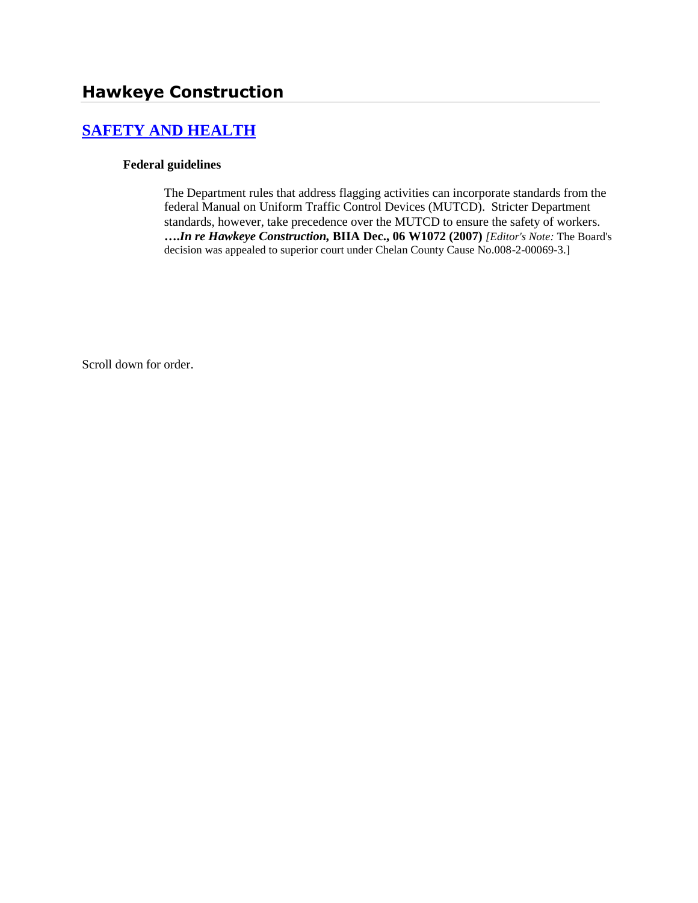# **[SAFETY AND HEALTH](http://www.biia.wa.gov/SDSubjectIndex.html#SAFETY_AND_HEALTH)**

#### **Federal guidelines**

The Department rules that address flagging activities can incorporate standards from the federal Manual on Uniform Traffic Control Devices (MUTCD). Stricter Department standards, however, take precedence over the MUTCD to ensure the safety of workers. **….***In re Hawkeye Construction,* **BIIA Dec., 06 W1072 (2007)** *[Editor's Note:* The Board's decision was appealed to superior court under Chelan County Cause No.008-2-00069-3.]

Scroll down for order.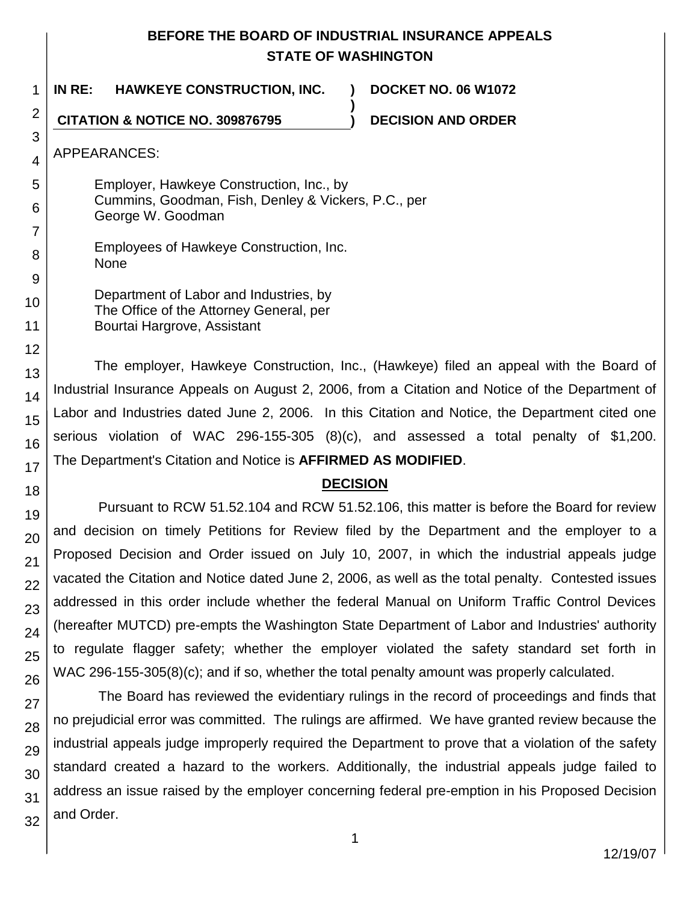# **BEFORE THE BOARD OF INDUSTRIAL INSURANCE APPEALS STATE OF WASHINGTON**

**)**

1 **IN RE: HAWKEYE CONSTRUCTION, INC. ) DOCKET NO. 06 W1072**

**CITATION & NOTICE NO. 309876795 ) DECISION AND ORDER**

APPEARANCES:

2

3

4

5

6

- Employer, Hawkeye Construction, Inc., by Cummins, Goodman, Fish, Denley & Vickers, P.C., per George W. Goodman
- Employees of Hawkeye Construction, Inc. None
- Department of Labor and Industries, by The Office of the Attorney General, per Bourtai Hargrove, Assistant

The employer, Hawkeye Construction, Inc., (Hawkeye) filed an appeal with the Board of Industrial Insurance Appeals on August 2, 2006, from a Citation and Notice of the Department of Labor and Industries dated June 2, 2006. In this Citation and Notice, the Department cited one serious violation of WAC 296-155-305 (8)(c), and assessed a total penalty of \$1,200. The Department's Citation and Notice is **AFFIRMED AS MODIFIED**.

# **DECISION**

Pursuant to RCW 51.52.104 and RCW 51.52.106, this matter is before the Board for review and decision on timely Petitions for Review filed by the Department and the employer to a Proposed Decision and Order issued on July 10, 2007, in which the industrial appeals judge vacated the Citation and Notice dated June 2, 2006, as well as the total penalty. Contested issues addressed in this order include whether the federal Manual on Uniform Traffic Control Devices (hereafter MUTCD) pre-empts the Washington State Department of Labor and Industries' authority to regulate flagger safety; whether the employer violated the safety standard set forth in WAC 296-155-305(8)(c); and if so, whether the total penalty amount was properly calculated.

The Board has reviewed the evidentiary rulings in the record of proceedings and finds that no prejudicial error was committed. The rulings are affirmed. We have granted review because the industrial appeals judge improperly required the Department to prove that a violation of the safety standard created a hazard to the workers. Additionally, the industrial appeals judge failed to address an issue raised by the employer concerning federal pre-emption in his Proposed Decision and Order.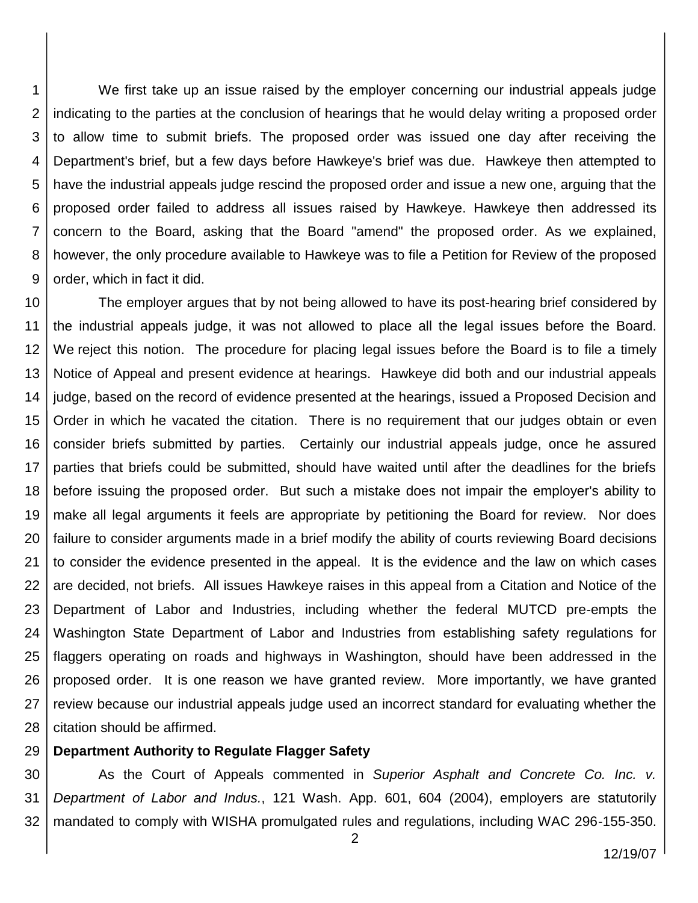1 2 3 4 5 6 7 8 9 We first take up an issue raised by the employer concerning our industrial appeals judge indicating to the parties at the conclusion of hearings that he would delay writing a proposed order to allow time to submit briefs. The proposed order was issued one day after receiving the Department's brief, but a few days before Hawkeye's brief was due. Hawkeye then attempted to have the industrial appeals judge rescind the proposed order and issue a new one, arguing that the proposed order failed to address all issues raised by Hawkeye. Hawkeye then addressed its concern to the Board, asking that the Board "amend" the proposed order. As we explained, however, the only procedure available to Hawkeye was to file a Petition for Review of the proposed order, which in fact it did.

10 11 12 13 14 15 16 17 18 19 20 21 22 23 24 25 26 27 28 The employer argues that by not being allowed to have its post-hearing brief considered by the industrial appeals judge, it was not allowed to place all the legal issues before the Board. We reject this notion. The procedure for placing legal issues before the Board is to file a timely Notice of Appeal and present evidence at hearings. Hawkeye did both and our industrial appeals judge, based on the record of evidence presented at the hearings, issued a Proposed Decision and Order in which he vacated the citation. There is no requirement that our judges obtain or even consider briefs submitted by parties. Certainly our industrial appeals judge, once he assured parties that briefs could be submitted, should have waited until after the deadlines for the briefs before issuing the proposed order. But such a mistake does not impair the employer's ability to make all legal arguments it feels are appropriate by petitioning the Board for review. Nor does failure to consider arguments made in a brief modify the ability of courts reviewing Board decisions to consider the evidence presented in the appeal. It is the evidence and the law on which cases are decided, not briefs. All issues Hawkeye raises in this appeal from a Citation and Notice of the Department of Labor and Industries, including whether the federal MUTCD pre-empts the Washington State Department of Labor and Industries from establishing safety regulations for flaggers operating on roads and highways in Washington, should have been addressed in the proposed order. It is one reason we have granted review. More importantly, we have granted review because our industrial appeals judge used an incorrect standard for evaluating whether the citation should be affirmed.

#### 29 **Department Authority to Regulate Flagger Safety**

30 31 32 As the Court of Appeals commented in *Superior Asphalt and Concrete Co. Inc. v. Department of Labor and Indus.*, 121 Wash. App. 601, 604 (2004), employers are statutorily mandated to comply with WISHA promulgated rules and regulations, including WAC 296-155-350.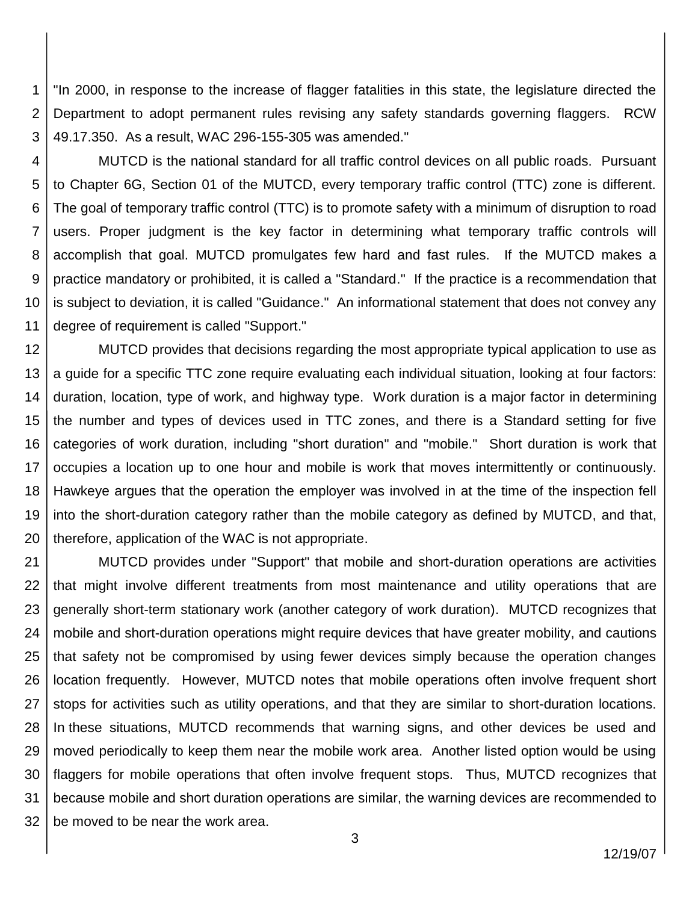1 2 3 "In 2000, in response to the increase of flagger fatalities in this state, the legislature directed the Department to adopt permanent rules revising any safety standards governing flaggers. RCW 49.17.350. As a result, WAC 296-155-305 was amended."

4

5 6 7 8 9 10 11 MUTCD is the national standard for all traffic control devices on all public roads. Pursuant to Chapter 6G, Section 01 of the MUTCD, every temporary traffic control (TTC) zone is different. The goal of temporary traffic control (TTC) is to promote safety with a minimum of disruption to road users. Proper judgment is the key factor in determining what temporary traffic controls will accomplish that goal. MUTCD promulgates few hard and fast rules. If the MUTCD makes a practice mandatory or prohibited, it is called a "Standard." If the practice is a recommendation that is subject to deviation, it is called "Guidance." An informational statement that does not convey any degree of requirement is called "Support."

12 13 14 15 16 17 18 19 20 MUTCD provides that decisions regarding the most appropriate typical application to use as a guide for a specific TTC zone require evaluating each individual situation, looking at four factors: duration, location, type of work, and highway type. Work duration is a major factor in determining the number and types of devices used in TTC zones, and there is a Standard setting for five categories of work duration, including "short duration" and "mobile." Short duration is work that occupies a location up to one hour and mobile is work that moves intermittently or continuously. Hawkeye argues that the operation the employer was involved in at the time of the inspection fell into the short-duration category rather than the mobile category as defined by MUTCD, and that, therefore, application of the WAC is not appropriate.

21 22 23 24 25 26 27 28 29 30 31 32 MUTCD provides under "Support" that mobile and short-duration operations are activities that might involve different treatments from most maintenance and utility operations that are generally short-term stationary work (another category of work duration). MUTCD recognizes that mobile and short-duration operations might require devices that have greater mobility, and cautions that safety not be compromised by using fewer devices simply because the operation changes location frequently. However, MUTCD notes that mobile operations often involve frequent short stops for activities such as utility operations, and that they are similar to short-duration locations. In these situations, MUTCD recommends that warning signs, and other devices be used and moved periodically to keep them near the mobile work area. Another listed option would be using flaggers for mobile operations that often involve frequent stops. Thus, MUTCD recognizes that because mobile and short duration operations are similar, the warning devices are recommended to be moved to be near the work area.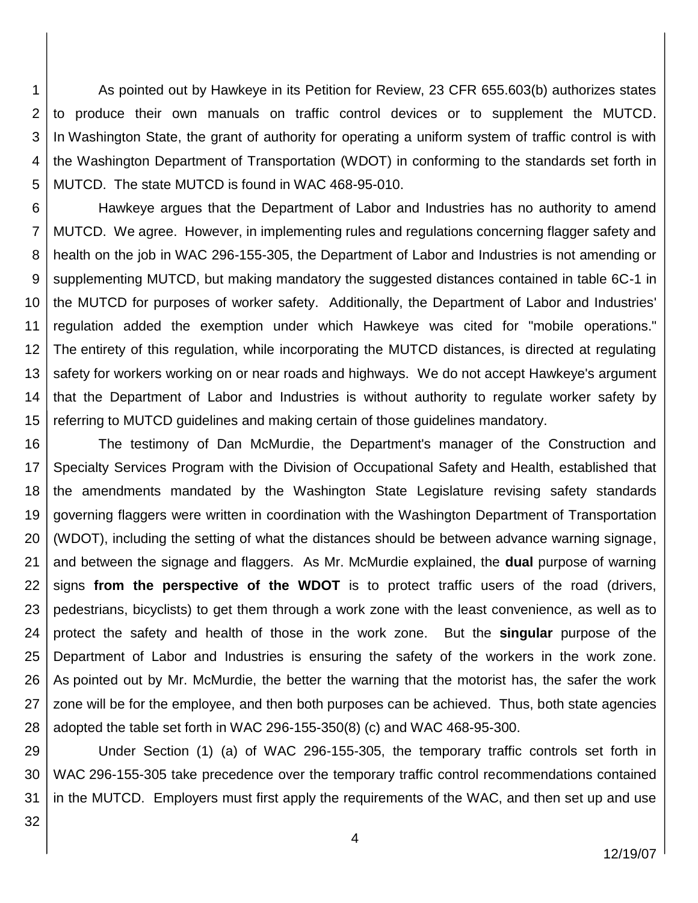1 2 3 4 5 As pointed out by Hawkeye in its Petition for Review, 23 CFR 655.603(b) authorizes states to produce their own manuals on traffic control devices or to supplement the MUTCD. In Washington State, the grant of authority for operating a uniform system of traffic control is with the Washington Department of Transportation (WDOT) in conforming to the standards set forth in MUTCD. The state MUTCD is found in WAC 468-95-010.

6 7 8 9 10 11 12 13 14 15 Hawkeye argues that the Department of Labor and Industries has no authority to amend MUTCD. We agree. However, in implementing rules and regulations concerning flagger safety and health on the job in WAC 296-155-305, the Department of Labor and Industries is not amending or supplementing MUTCD, but making mandatory the suggested distances contained in table 6C-1 in the MUTCD for purposes of worker safety. Additionally, the Department of Labor and Industries' regulation added the exemption under which Hawkeye was cited for "mobile operations." The entirety of this regulation, while incorporating the MUTCD distances, is directed at regulating safety for workers working on or near roads and highways. We do not accept Hawkeye's argument that the Department of Labor and Industries is without authority to regulate worker safety by referring to MUTCD guidelines and making certain of those guidelines mandatory.

16 17 18 19 20 21 22 23 24 25 26 27 28 The testimony of Dan McMurdie, the Department's manager of the Construction and Specialty Services Program with the Division of Occupational Safety and Health, established that the amendments mandated by the Washington State Legislature revising safety standards governing flaggers were written in coordination with the Washington Department of Transportation (WDOT), including the setting of what the distances should be between advance warning signage, and between the signage and flaggers. As Mr. McMurdie explained, the **dual** purpose of warning signs **from the perspective of the WDOT** is to protect traffic users of the road (drivers, pedestrians, bicyclists) to get them through a work zone with the least convenience, as well as to protect the safety and health of those in the work zone. But the **singular** purpose of the Department of Labor and Industries is ensuring the safety of the workers in the work zone. As pointed out by Mr. McMurdie, the better the warning that the motorist has, the safer the work zone will be for the employee, and then both purposes can be achieved. Thus, both state agencies adopted the table set forth in WAC 296-155-350(8) (c) and WAC 468-95-300.

29 30 31 Under Section (1) (a) of WAC 296-155-305, the temporary traffic controls set forth in WAC 296-155-305 take precedence over the temporary traffic control recommendations contained in the MUTCD. Employers must first apply the requirements of the WAC, and then set up and use

32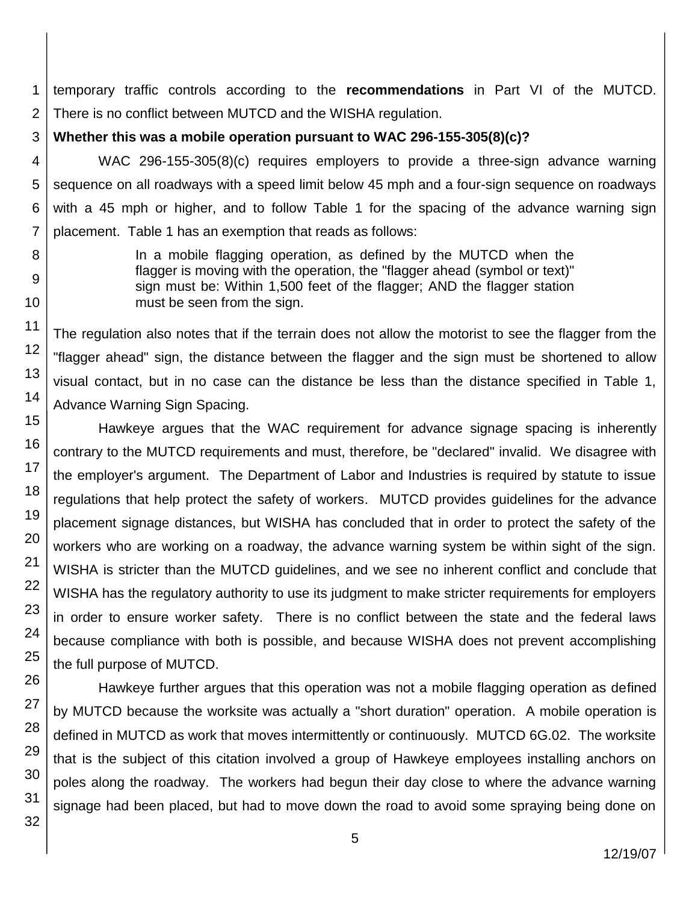1 2 temporary traffic controls according to the **recommendations** in Part VI of the MUTCD. There is no conflict between MUTCD and the WISHA regulation.

3 **Whether this was a mobile operation pursuant to WAC 296-155-305(8)(c)?**

4 5 6 WAC 296-155-305(8)(c) requires employers to provide a three-sign advance warning sequence on all roadways with a speed limit below 45 mph and a four-sign sequence on roadways with a 45 mph or higher, and to follow Table 1 for the spacing of the advance warning sign placement. Table 1 has an exemption that reads as follows:

> In a mobile flagging operation, as defined by the MUTCD when the flagger is moving with the operation, the "flagger ahead (symbol or text)" sign must be: Within 1,500 feet of the flagger; AND the flagger station must be seen from the sign.

The regulation also notes that if the terrain does not allow the motorist to see the flagger from the "flagger ahead" sign, the distance between the flagger and the sign must be shortened to allow visual contact, but in no case can the distance be less than the distance specified in Table 1, Advance Warning Sign Spacing.

Hawkeye argues that the WAC requirement for advance signage spacing is inherently contrary to the MUTCD requirements and must, therefore, be "declared" invalid. We disagree with the employer's argument. The Department of Labor and Industries is required by statute to issue regulations that help protect the safety of workers. MUTCD provides guidelines for the advance placement signage distances, but WISHA has concluded that in order to protect the safety of the workers who are working on a roadway, the advance warning system be within sight of the sign. WISHA is stricter than the MUTCD guidelines, and we see no inherent conflict and conclude that WISHA has the regulatory authority to use its judgment to make stricter requirements for employers in order to ensure worker safety. There is no conflict between the state and the federal laws because compliance with both is possible, and because WISHA does not prevent accomplishing the full purpose of MUTCD.

Hawkeye further argues that this operation was not a mobile flagging operation as defined by MUTCD because the worksite was actually a "short duration" operation. A mobile operation is defined in MUTCD as work that moves intermittently or continuously. MUTCD 6G.02. The worksite that is the subject of this citation involved a group of Hawkeye employees installing anchors on poles along the roadway. The workers had begun their day close to where the advance warning signage had been placed, but had to move down the road to avoid some spraying being done on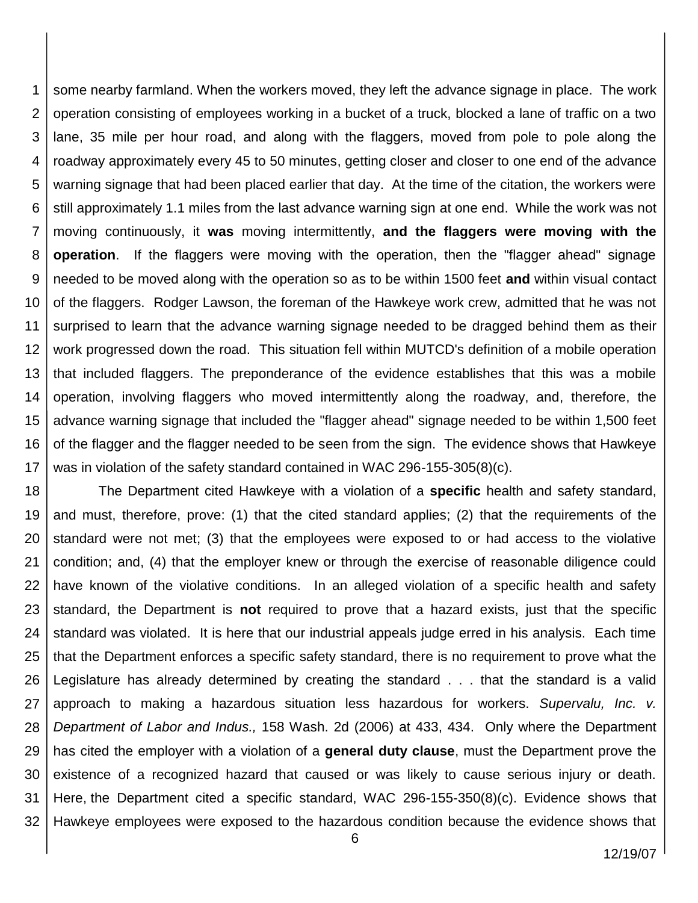1 2 3 4 5 6 7 8 9 10 11 12 13 14 15 16 17 some nearby farmland. When the workers moved, they left the advance signage in place. The work operation consisting of employees working in a bucket of a truck, blocked a lane of traffic on a two lane, 35 mile per hour road, and along with the flaggers, moved from pole to pole along the roadway approximately every 45 to 50 minutes, getting closer and closer to one end of the advance warning signage that had been placed earlier that day. At the time of the citation, the workers were still approximately 1.1 miles from the last advance warning sign at one end. While the work was not moving continuously, it **was** moving intermittently, **and the flaggers were moving with the operation**. If the flaggers were moving with the operation, then the "flagger ahead" signage needed to be moved along with the operation so as to be within 1500 feet **and** within visual contact of the flaggers. Rodger Lawson, the foreman of the Hawkeye work crew, admitted that he was not surprised to learn that the advance warning signage needed to be dragged behind them as their work progressed down the road. This situation fell within MUTCD's definition of a mobile operation that included flaggers. The preponderance of the evidence establishes that this was a mobile operation, involving flaggers who moved intermittently along the roadway, and, therefore, the advance warning signage that included the "flagger ahead" signage needed to be within 1,500 feet of the flagger and the flagger needed to be seen from the sign. The evidence shows that Hawkeye was in violation of the safety standard contained in WAC 296-155-305(8)(c).

18 19 20 21 22 23 24 25 26 27 28 29 30 31 32 The Department cited Hawkeye with a violation of a **specific** health and safety standard, and must, therefore, prove: (1) that the cited standard applies; (2) that the requirements of the standard were not met; (3) that the employees were exposed to or had access to the violative condition; and, (4) that the employer knew or through the exercise of reasonable diligence could have known of the violative conditions. In an alleged violation of a specific health and safety standard, the Department is **not** required to prove that a hazard exists, just that the specific standard was violated. It is here that our industrial appeals judge erred in his analysis. Each time that the Department enforces a specific safety standard, there is no requirement to prove what the Legislature has already determined by creating the standard . . . that the standard is a valid approach to making a hazardous situation less hazardous for workers. *Supervalu, Inc. v. Department of Labor and Indus.,* 158 Wash. 2d (2006) at 433, 434. Only where the Department has cited the employer with a violation of a **general duty clause**, must the Department prove the existence of a recognized hazard that caused or was likely to cause serious injury or death. Here, the Department cited a specific standard, WAC 296-155-350(8)(c). Evidence shows that Hawkeye employees were exposed to the hazardous condition because the evidence shows that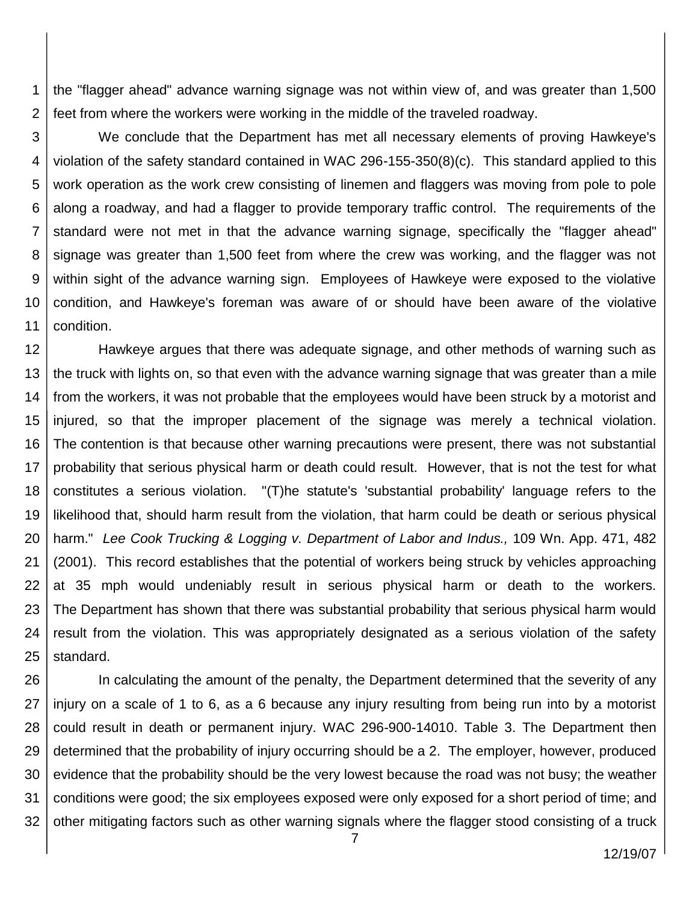1 2 the "flagger ahead" advance warning signage was not within view of, and was greater than 1,500 feet from where the workers were working in the middle of the traveled roadway.

3 4 5 6 7 8 9 10 11 We conclude that the Department has met all necessary elements of proving Hawkeye's violation of the safety standard contained in WAC 296-155-350(8)(c). This standard applied to this work operation as the work crew consisting of linemen and flaggers was moving from pole to pole along a roadway, and had a flagger to provide temporary traffic control. The requirements of the standard were not met in that the advance warning signage, specifically the "flagger ahead" signage was greater than 1,500 feet from where the crew was working, and the flagger was not within sight of the advance warning sign. Employees of Hawkeye were exposed to the violative condition, and Hawkeye's foreman was aware of or should have been aware of the violative condition.

12 13 14 15 16 17 18 19 20 21 22 23 24 25 Hawkeye argues that there was adequate signage, and other methods of warning such as the truck with lights on, so that even with the advance warning signage that was greater than a mile from the workers, it was not probable that the employees would have been struck by a motorist and injured, so that the improper placement of the signage was merely a technical violation. The contention is that because other warning precautions were present, there was not substantial probability that serious physical harm or death could result. However, that is not the test for what constitutes a serious violation. "(T)he statute's 'substantial probability' language refers to the likelihood that, should harm result from the violation, that harm could be death or serious physical harm." *Lee Cook Trucking & Logging v. Department of Labor and Indus.,* 109 Wn. App. 471, 482 (2001). This record establishes that the potential of workers being struck by vehicles approaching at 35 mph would undeniably result in serious physical harm or death to the workers. The Department has shown that there was substantial probability that serious physical harm would result from the violation. This was appropriately designated as a serious violation of the safety standard.

26 27 28 29 30 31 32 In calculating the amount of the penalty, the Department determined that the severity of any injury on a scale of 1 to 6, as a 6 because any injury resulting from being run into by a motorist could result in death or permanent injury. WAC 296-900-14010. Table 3. The Department then determined that the probability of injury occurring should be a 2. The employer, however, produced evidence that the probability should be the very lowest because the road was not busy; the weather conditions were good; the six employees exposed were only exposed for a short period of time; and other mitigating factors such as other warning signals where the flagger stood consisting of a truck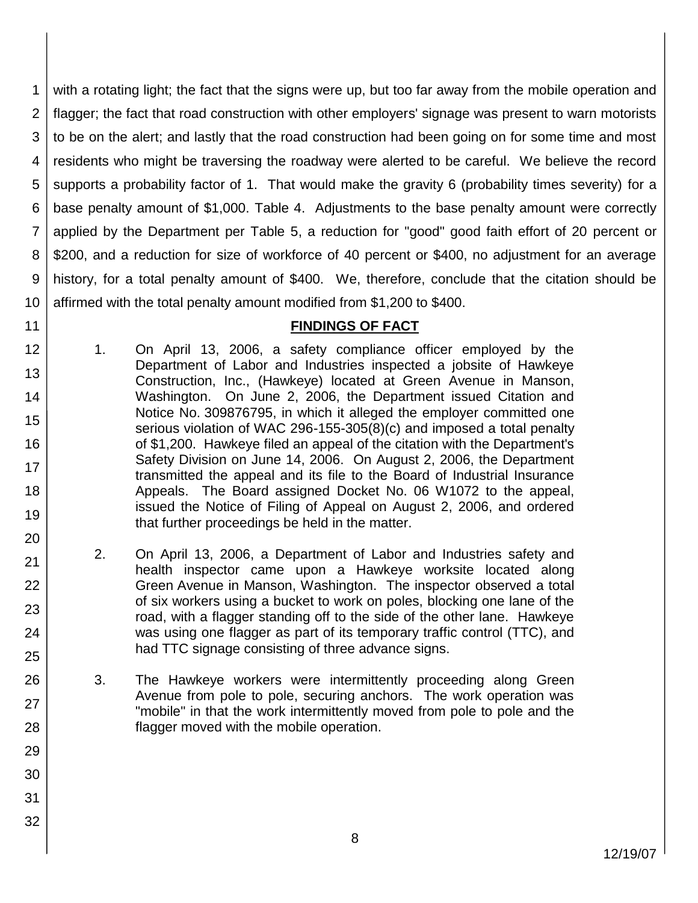1 2 3 4 5 6 7 8 9 10 with a rotating light; the fact that the signs were up, but too far away from the mobile operation and flagger; the fact that road construction with other employers' signage was present to warn motorists to be on the alert; and lastly that the road construction had been going on for some time and most residents who might be traversing the roadway were alerted to be careful. We believe the record supports a probability factor of 1. That would make the gravity 6 (probability times severity) for a base penalty amount of \$1,000. Table 4. Adjustments to the base penalty amount were correctly applied by the Department per Table 5, a reduction for "good" good faith effort of 20 percent or \$200, and a reduction for size of workforce of 40 percent or \$400, no adjustment for an average history, for a total penalty amount of \$400. We, therefore, conclude that the citation should be affirmed with the total penalty amount modified from \$1,200 to \$400.

## **FINDINGS OF FACT**

12 13 14 15 16 17 18 19 1. On April 13, 2006, a safety compliance officer employed by the Department of Labor and Industries inspected a jobsite of Hawkeye Construction, Inc., (Hawkeye) located at Green Avenue in Manson, Washington. On June 2, 2006, the Department issued Citation and Notice No. 309876795, in which it alleged the employer committed one serious violation of WAC 296-155-305(8)(c) and imposed a total penalty of \$1,200. Hawkeye filed an appeal of the citation with the Department's Safety Division on June 14, 2006. On August 2, 2006, the Department transmitted the appeal and its file to the Board of Industrial Insurance Appeals. The Board assigned Docket No. 06 W1072 to the appeal, issued the Notice of Filing of Appeal on August 2, 2006, and ordered that further proceedings be held in the matter.

11

20

21

22

23

24

25

26

27

28

29

30

31

32

- 2. On April 13, 2006, a Department of Labor and Industries safety and health inspector came upon a Hawkeye worksite located along Green Avenue in Manson, Washington. The inspector observed a total of six workers using a bucket to work on poles, blocking one lane of the road, with a flagger standing off to the side of the other lane. Hawkeye was using one flagger as part of its temporary traffic control (TTC), and had TTC signage consisting of three advance signs.
	- 3. The Hawkeye workers were intermittently proceeding along Green Avenue from pole to pole, securing anchors. The work operation was "mobile" in that the work intermittently moved from pole to pole and the flagger moved with the mobile operation.

12/19/07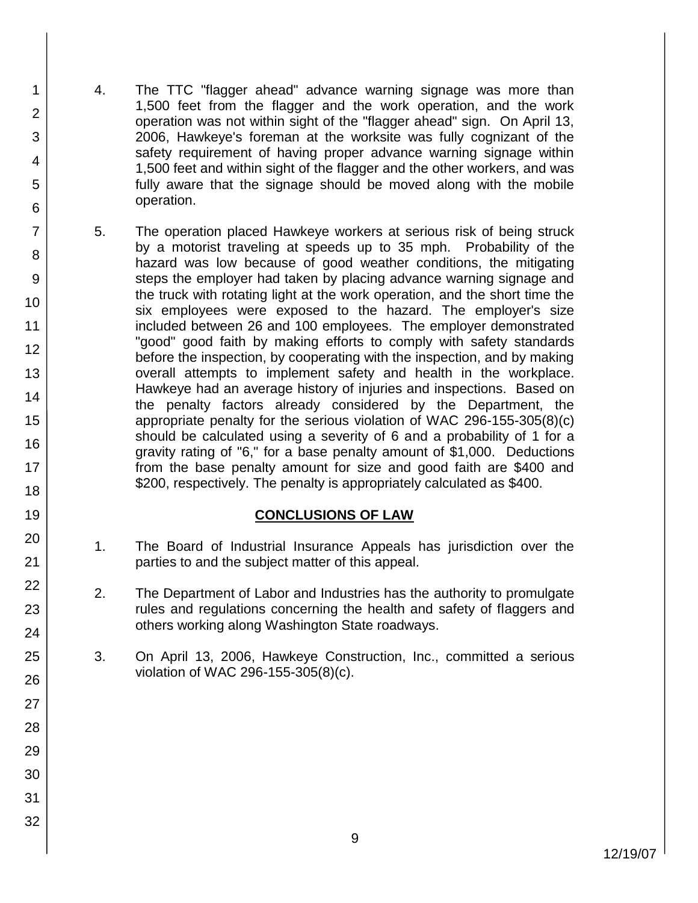4. The TTC "flagger ahead" advance warning signage was more than 1,500 feet from the flagger and the work operation, and the work operation was not within sight of the "flagger ahead" sign. On April 13, 2006, Hawkeye's foreman at the worksite was fully cognizant of the safety requirement of having proper advance warning signage within 1,500 feet and within sight of the flagger and the other workers, and was fully aware that the signage should be moved along with the mobile operation.

1

2

3

4

5

6

7

8

9

10

11 12

13

14

15

16

17 18

19

20

21

22

23

24

25

26

27

28

29

30

31

32

5. The operation placed Hawkeye workers at serious risk of being struck by a motorist traveling at speeds up to 35 mph. Probability of the hazard was low because of good weather conditions, the mitigating steps the employer had taken by placing advance warning signage and the truck with rotating light at the work operation, and the short time the six employees were exposed to the hazard. The employer's size included between 26 and 100 employees. The employer demonstrated "good" good faith by making efforts to comply with safety standards before the inspection, by cooperating with the inspection, and by making overall attempts to implement safety and health in the workplace. Hawkeye had an average history of injuries and inspections. Based on the penalty factors already considered by the Department, the appropriate penalty for the serious violation of WAC 296-155-305(8)(c) should be calculated using a severity of 6 and a probability of 1 for a gravity rating of "6," for a base penalty amount of \$1,000. Deductions from the base penalty amount for size and good faith are \$400 and \$200, respectively. The penalty is appropriately calculated as \$400.

## **CONCLUSIONS OF LAW**

- 1. The Board of Industrial Insurance Appeals has jurisdiction over the parties to and the subject matter of this appeal.
- 2. The Department of Labor and Industries has the authority to promulgate rules and regulations concerning the health and safety of flaggers and others working along Washington State roadways.
- 3. On April 13, 2006, Hawkeye Construction, Inc., committed a serious violation of WAC 296-155-305(8)(c).